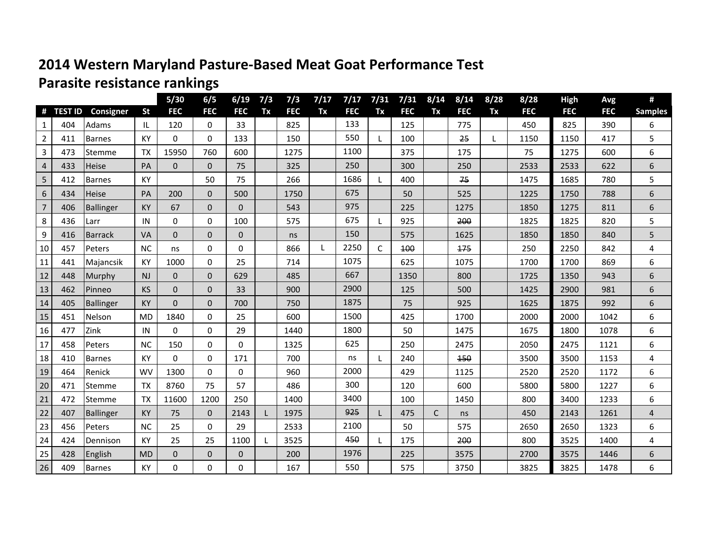## **2014 Western Maryland Pasture-Based Meat Goat Performance Test Parasite resistance rankings**

|                |           |                  |           | $5/30$       | 6/5          | 6/19           | 7/3 | 7/3        | 7/17 | 7/17       | 7/31         | 7/31       | 8/14         | 8/14       | 8/28         | 8/28       | <b>High</b> | Avg        | #              |
|----------------|-----------|------------------|-----------|--------------|--------------|----------------|-----|------------|------|------------|--------------|------------|--------------|------------|--------------|------------|-------------|------------|----------------|
|                | # TEST ID | Consigner        | <b>St</b> | <b>FEC</b>   | <b>FEC</b>   | <b>FEC</b>     | Tx  | <b>FEC</b> | Tx   | <b>FEC</b> | Tx           | <b>FEC</b> | Tx           | <b>FEC</b> | Tx           | <b>FEC</b> | <b>FEC</b>  | <b>FEC</b> | <b>Samples</b> |
| 1              | 404       | Adams            | IL.       | 120          | $\mathbf 0$  | 33             |     | 825        |      | 133        |              | 125        |              | 775        |              | 450        | 825         | 390        | 6              |
| $\overline{2}$ | 411       | <b>Barnes</b>    | KY        | $\Omega$     | $\Omega$     | 133            |     | 150        |      | 550        | $\mathbf{L}$ | 100        |              | 25         | $\mathbf{L}$ | 1150       | 1150        | 417        | 5              |
| $\overline{3}$ | 473       | Stemme           | <b>TX</b> | 15950        | 760          | 600            |     | 1275       |      | 1100       |              | 375        |              | 175        |              | 75         | 1275        | 600        | 6              |
| 4              | 433       | <b>Heise</b>     | PA        | $\mathbf 0$  | $\mathbf{0}$ | 75             |     | 325        |      | 250        |              | 300        |              | 250        |              | 2533       | 2533        | 622        | 6              |
| 5              | 412       | <b>Barnes</b>    | KY        |              | 50           | 75             |     | 266        |      | 1686       | L            | 400        |              | 75         |              | 1475       | 1685        | 780        | 5              |
| $6\,$          | 434       | <b>Heise</b>     | PA        | 200          | $\mathbf{0}$ | 500            |     | 1750       |      | 675        |              | 50         |              | 525        |              | 1225       | 1750        | 788        | 6              |
| $\overline{7}$ | 406       | <b>Ballinger</b> | KY        | 67           | $\mathbf{0}$ | $\mathbf{0}$   |     | 543        |      | 975        |              | 225        |              | 1275       |              | 1850       | 1275        | 811        | 6              |
| 8              | 436       | Larr             | IN        | 0            | $\mathbf 0$  | 100            |     | 575        |      | 675        | L            | 925        |              | 200        |              | 1825       | 1825        | 820        | 5              |
| 9              | 416       | Barrack          | VA        | $\mathbf 0$  | $\mathbf 0$  | $\overline{0}$ |     | ns         |      | 150        |              | 575        |              | 1625       |              | 1850       | 1850        | 840        | 5              |
| 10             | 457       | Peters           | <b>NC</b> | ns           | $\mathbf 0$  | $\Omega$       |     | 866        |      | 2250       | $\mathsf{C}$ | 100        |              | 175        |              | 250        | 2250        | 842        | 4              |
| 11             | 441       | Majancsik        | KY        | 1000         | 0            | 25             |     | 714        |      | 1075       |              | 625        |              | 1075       |              | 1700       | 1700        | 869        | 6              |
| 12             | 448       | Murphy           | NJ        | $\mathbf 0$  | $\mathbf{0}$ | 629            |     | 485        |      | 667        |              | 1350       |              | 800        |              | 1725       | 1350        | 943        | 6              |
| 13             | 462       | Pinneo           | <b>KS</b> | $\mathbf 0$  | $\mathbf{0}$ | 33             |     | 900        |      | 2900       |              | 125        |              | 500        |              | 1425       | 2900        | 981        | 6              |
| 14             | 405       | <b>Ballinger</b> | KY        | $\Omega$     | $\mathbf 0$  | 700            |     | 750        |      | 1875       |              | 75         |              | 925        |              | 1625       | 1875        | 992        | 6              |
| 15             | 451       | Nelson           | <b>MD</b> | 1840         | $\mathbf 0$  | 25             |     | 600        |      | 1500       |              | 425        |              | 1700       |              | 2000       | 2000        | 1042       | 6              |
| 16             | 477       | Zink             | IN        | 0            | $\mathbf 0$  | 29             |     | 1440       |      | 1800       |              | 50         |              | 1475       |              | 1675       | 1800        | 1078       | 6              |
| 17             | 458       | Peters           | <b>NC</b> | 150          | 0            | 0              |     | 1325       |      | 625        |              | 250        |              | 2475       |              | 2050       | 2475        | 1121       | 6              |
| 18             | 410       | <b>Barnes</b>    | KY        | $\Omega$     | $\mathbf 0$  | 171            |     | 700        |      | ns         | $\mathbf{L}$ | 240        |              | 150        |              | 3500       | 3500        | 1153       | 4              |
| 19             | 464       | Renick           | WV        | 1300         | 0            | 0              |     | 960        |      | 2000       |              | 429        |              | 1125       |              | 2520       | 2520        | 1172       | 6              |
| 20             | 471       | Stemme           | <b>TX</b> | 8760         | 75           | 57             |     | 486        |      | 300        |              | 120        |              | 600        |              | 5800       | 5800        | 1227       | 6              |
| 21             | 472       | lStemme          | <b>TX</b> | 11600        | 1200         | 250            |     | 1400       |      | 3400       |              | 100        |              | 1450       |              | 800        | 3400        | 1233       | 6              |
| 22             | 407       | <b>Ballinger</b> | KY        | 75           | $\Omega$     | 2143           |     | 1975       |      | 925        | L            | 475        | $\mathsf{C}$ | ns         |              | 450        | 2143        | 1261       | $\overline{4}$ |
| 23             | 456       | Peters           | <b>NC</b> | 25           | $\mathbf 0$  | 29             |     | 2533       |      | 2100       |              | 50         |              | 575        |              | 2650       | 2650        | 1323       | 6              |
| 24             | 424       | Dennison         | KY        | 25           | 25           | 1100           | L   | 3525       |      | 450        | $\mathbf{L}$ | 175        |              | 200        |              | 800        | 3525        | 1400       | 4              |
| 25             | 428       | English          | <b>MD</b> | $\mathbf{0}$ | $\mathbf 0$  | $\mathbf{0}$   |     | 200        |      | 1976       |              | 225        |              | 3575       |              | 2700       | 3575        | 1446       | 6              |
| 26             | 409       | <b>Barnes</b>    | <b>KY</b> | 0            | $\mathbf 0$  | $\Omega$       |     | 167        |      | 550        |              | 575        |              | 3750       |              | 3825       | 3825        | 1478       | 6              |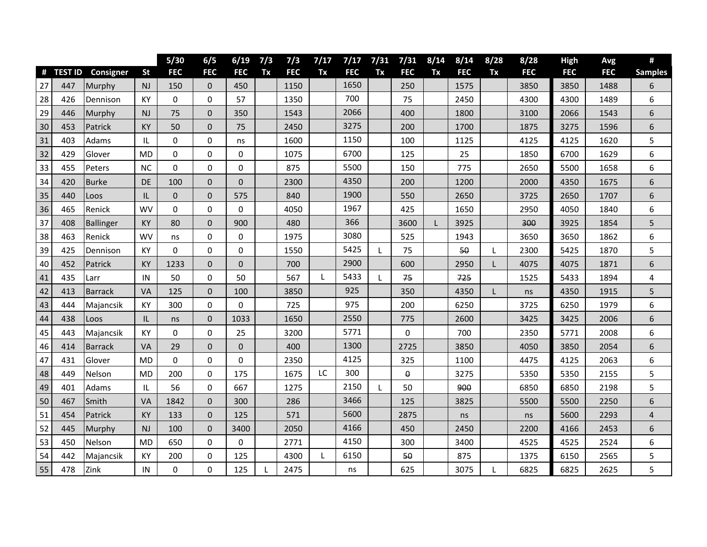|    |         |                |           | $5/30$      | 6/5          | 6/19           | 7/3 | 7/3        | 7/17 | 7/17       | 7/31 | 7/31       | 8/14 | 8/14       | 8/28 | 8/28       | High       | Avg        | #              |
|----|---------|----------------|-----------|-------------|--------------|----------------|-----|------------|------|------------|------|------------|------|------------|------|------------|------------|------------|----------------|
| #  | TEST ID | Consigner      | <b>St</b> | <b>FEC</b>  | <b>FEC</b>   | <b>FEC</b>     | Tx  | <b>FEC</b> | Tx   | <b>FEC</b> | Tx   | <b>FEC</b> | Tx   | <b>FEC</b> | Tx   | <b>FEC</b> | <b>FEC</b> | <b>FEC</b> | <b>Samples</b> |
| 27 | 447     | Murphy         | NJ        | 150         | $\Omega$     | 450            |     | 1150       |      | 1650       |      | 250        |      | 1575       |      | 3850       | 3850       | 1488       | 6              |
| 28 | 426     | Dennison       | KY        | 0           | 0            | 57             |     | 1350       |      | 700        |      | 75         |      | 2450       |      | 4300       | 4300       | 1489       | 6              |
| 29 | 446     | Murphy         | <b>NJ</b> | 75          | $\mathbf{0}$ | 350            |     | 1543       |      | 2066       |      | 400        |      | 1800       |      | 3100       | 2066       | 1543       | 6              |
| 30 | 453     | Patrick        | <b>KY</b> | 50          | $\mathbf 0$  | 75             |     | 2450       |      | 3275       |      | 200        |      | 1700       |      | 1875       | 3275       | 1596       | 6              |
| 31 | 403     | Adams          | IL        | 0           | $\mathbf 0$  | ns             |     | 1600       |      | 1150       |      | 100        |      | 1125       |      | 4125       | 4125       | 1620       | 5              |
| 32 | 429     | Glover         | MD        | 0           | $\mathbf 0$  | 0              |     | 1075       |      | 6700       |      | 125        |      | 25         |      | 1850       | 6700       | 1629       | 6              |
| 33 | 455     | Peters         | <b>NC</b> | 0           | 0            | 0              |     | 875        |      | 5500       |      | 150        |      | 775        |      | 2650       | 5500       | 1658       | 6              |
| 34 | 420     | <b>Burke</b>   | DE        | 100         | $\mathbf 0$  | $\overline{0}$ |     | 2300       |      | 4350       |      | 200        |      | 1200       |      | 2000       | 4350       | 1675       | 6              |
| 35 | 440     | Loos           | IL        | $\mathbf 0$ | $\mathbf 0$  | 575            |     | 840        |      | 1900       |      | 550        |      | 2650       |      | 3725       | 2650       | 1707       | 6              |
| 36 | 465     | Renick         | <b>WV</b> | 0           | $\mathbf 0$  | $\Omega$       |     | 4050       |      | 1967       |      | 425        |      | 1650       |      | 2950       | 4050       | 1840       | 6              |
| 37 | 408     | Ballinger      | <b>KY</b> | 80          | $\mathbf 0$  | 900            |     | 480        |      | 366        |      | 3600       | L    | 3925       |      | 300        | 3925       | 1854       | 5              |
| 38 | 463     | Renick         | WV        | ns          | $\pmb{0}$    | 0              |     | 1975       |      | 3080       |      | 525        |      | 1943       |      | 3650       | 3650       | 1862       | 6              |
| 39 | 425     | Dennison       | KY        | $\mathbf 0$ | $\mathbf 0$  | 0              |     | 1550       |      | 5425       | L    | 75         |      | 50         | L    | 2300       | 5425       | 1870       | 5              |
| 40 | 452     | Patrick        | KY        | 1233        | $\mathbf 0$  | $\mathbf 0$    |     | 700        |      | 2900       |      | 600        |      | 2950       |      | 4075       | 4075       | 1871       | 6              |
| 41 | 435     | Larr           | IN        | 50          | 0            | 50             |     | 567        |      | 5433       |      | 75         |      | 725        |      | 1525       | 5433       | 1894       | 4              |
| 42 | 413     | <b>Barrack</b> | VA        | 125         | $\mathbf 0$  | 100            |     | 3850       |      | 925        |      | 350        |      | 4350       | L    | ns         | 4350       | 1915       | 5              |
| 43 | 444     | Majancsik      | KY        | 300         | $\mathbf 0$  | 0              |     | 725        |      | 975        |      | 200        |      | 6250       |      | 3725       | 6250       | 1979       | 6              |
| 44 | 438     | Loos           | IL        | ns          | $\mathbf 0$  | 1033           |     | 1650       |      | 2550       |      | 775        |      | 2600       |      | 3425       | 3425       | 2006       | 6              |
| 45 | 443     | Majancsik      | KY        | 0           | $\pmb{0}$    | 25             |     | 3200       |      | 5771       |      | 0          |      | 700        |      | 2350       | 5771       | 2008       | 6              |
| 46 | 414     | Barrack        | <b>VA</b> | 29          | $\mathbf{0}$ | $\mathbf 0$    |     | 400        |      | 1300       |      | 2725       |      | 3850       |      | 4050       | 3850       | 2054       | 6              |
| 47 | 431     | Glover         | <b>MD</b> | 0           | $\mathbf 0$  | 0              |     | 2350       |      | 4125       |      | 325        |      | 1100       |      | 4475       | 4125       | 2063       | 6              |
| 48 | 449     | Nelson         | <b>MD</b> | 200         | $\mathbf 0$  | 175            |     | 1675       | LC   | 300        |      | 0          |      | 3275       |      | 5350       | 5350       | 2155       | 5              |
| 49 | 401     | Adams          | IL        | 56          | $\Omega$     | 667            |     | 1275       |      | 2150       | L    | 50         |      | 900        |      | 6850       | 6850       | 2198       | 5              |
| 50 | 467     | Smith          | <b>VA</b> | 1842        | $\mathbf 0$  | 300            |     | 286        |      | 3466       |      | 125        |      | 3825       |      | 5500       | 5500       | 2250       | 6              |
| 51 | 454     | Patrick        | <b>KY</b> | 133         | $\mathbf{0}$ | 125            |     | 571        |      | 5600       |      | 2875       |      | ns         |      | ns         | 5600       | 2293       | 4              |
| 52 | 445     | Murphy         | NJ        | 100         | $\mathbf{0}$ | 3400           |     | 2050       |      | 4166       |      | 450        |      | 2450       |      | 2200       | 4166       | 2453       | 6              |
| 53 | 450     | Nelson         | <b>MD</b> | 650         | $\mathbf 0$  | 0              |     | 2771       |      | 4150       |      | 300        |      | 3400       |      | 4525       | 4525       | 2524       | 6              |
| 54 | 442     | Majancsik      | KY        | 200         | $\pmb{0}$    | 125            |     | 4300       |      | 6150       |      | 50         |      | 875        |      | 1375       | 6150       | 2565       | 5              |
| 55 | 478     | Zink           | IN        | 0           | $\mathbf 0$  | 125            |     | 2475       |      | ns         |      | 625        |      | 3075       |      | 6825       | 6825       | 2625       | 5              |